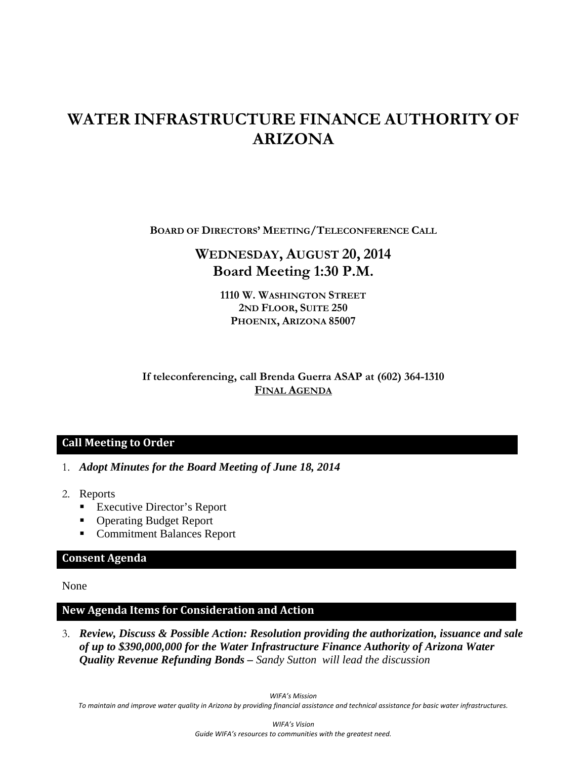# **WATER INFRASTRUCTURE FINANCE AUTHORITY OF ARIZONA**

**BOARD OF DIRECTORS' MEETING/TELECONFERENCE CALL**

## **WEDNESDAY, AUGUST 20, 2014 Board Meeting 1:30 P.M.**

**1110 W. WASHINGTON STREET 2ND FLOOR, SUITE 250 PHOENIX, ARIZONA 85007** 

**If teleconferencing, call Brenda Guerra ASAP at (602) 364-1310 FINAL AGENDA**

### **Call Meeting to Order**

- 1. *Adopt Minutes for the Board Meeting of June 18, 2014*
- 2. Reports
	- Executive Director's Report
	- Operating Budget Report
	- Commitment Balances Report

### **Consent Agenda**

None

### **New Agenda Items for Consideration and Action**

3. *Review, Discuss & Possible Action: Resolution providing the authorization, issuance and sale of up to \$390,000,000 for the Water Infrastructure Finance Authority of Arizona Water Quality Revenue Refunding Bonds – Sandy Sutton will lead the discussion* 

*WIFA's Mission*

To maintain and improve water quality in Arizona by providing financial assistance and technical assistance for basic water infrastructures.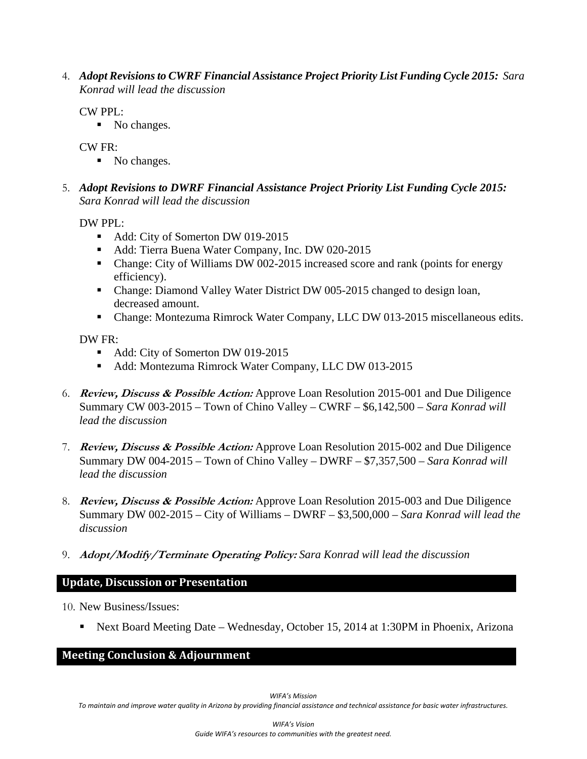4. *Adopt Revisions to CWRF Financial Assistance Project Priority List Funding Cycle 2015: Sara Konrad will lead the discussion*

CW PPL:

No changes.

CW FR:

- No changes.
- 5. *Adopt Revisions to DWRF Financial Assistance Project Priority List Funding Cycle 2015: Sara Konrad will lead the discussion*

DW PPL:

- Add: City of Somerton DW 019-2015
- Add: Tierra Buena Water Company, Inc. DW 020-2015
- Change: City of Williams DW 002-2015 increased score and rank (points for energy efficiency).
- Change: Diamond Valley Water District DW 005-2015 changed to design loan, decreased amount.
- Change: Montezuma Rimrock Water Company, LLC DW 013-2015 miscellaneous edits.

DW FR:

- Add: City of Somerton DW 019-2015
- Add: Montezuma Rimrock Water Company, LLC DW 013-2015
- 6. **Review, Discuss & Possible Action:** Approve Loan Resolution 2015-001 and Due Diligence Summary CW 003-2015 – Town of Chino Valley – CWRF – \$6,142,500 *– Sara Konrad will lead the discussion*
- 7. **Review, Discuss & Possible Action:** Approve Loan Resolution 2015-002 and Due Diligence Summary DW 004-2015 – Town of Chino Valley – DWRF – \$7,357,500 *– Sara Konrad will lead the discussion*
- 8. **Review, Discuss & Possible Action:** Approve Loan Resolution 2015-003 and Due Diligence Summary DW 002-2015 – City of Williams – DWRF – \$3,500,000 *– Sara Konrad will lead the discussion*
- 9. **Adopt/Modify/Terminate Operating Policy:** *Sara Konrad will lead the discussion*

### **Update, Discussion or Presentation**

- 10. New Business/Issues:
	- Next Board Meeting Date Wednesday, October 15, 2014 at 1:30PM in Phoenix, Arizona

### **Meeting Conclusion & Adjournment**

To maintain and improve water quality in Arizona by providing financial assistance and technical assistance for basic water infrastructures.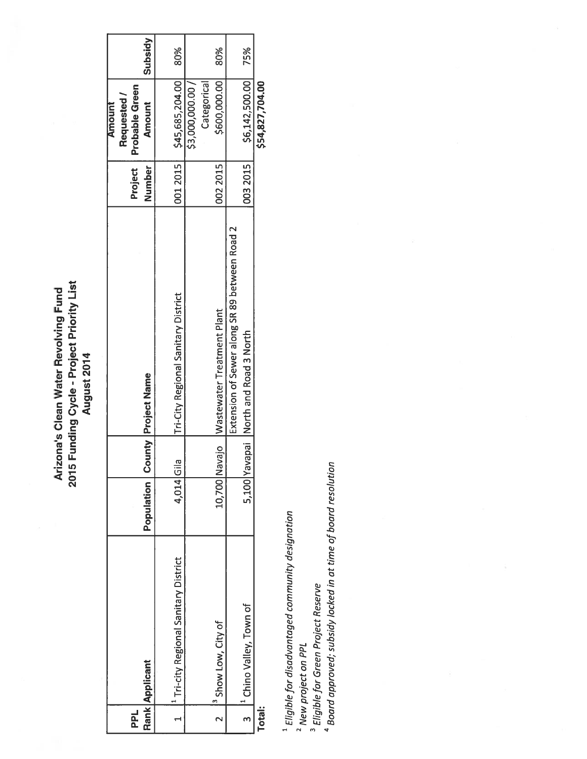2015 Funding Cycle - Project Priority List Arizona's Clean Water Revolving Fund August 2014

| 군             | Rank Applicant                                   |            |               | <b>Population   County   Project Name</b>     | Number<br>Project | Probable Green<br>Requested /<br><b>Allionill</b><br><b>Amount</b> | <b>Subsidy</b> |
|---------------|--------------------------------------------------|------------|---------------|-----------------------------------------------|-------------------|--------------------------------------------------------------------|----------------|
|               | <sup>1</sup> Tri-city Regional Sanitary District | 4,014 Gila |               | <b>Tri-City Regional Sanitary District</b>    | 001 2015          | \$45,685,204.00                                                    | 80%            |
|               |                                                  |            |               |                                               |                   | Categorical<br>\$3,000,000.00                                      |                |
|               | <sup>3</sup> Show Low, City of                   |            | 10,700 Navajo | Wastewater Treatment Plant                    | 0022015           | \$600,000.00                                                       | 80%            |
|               |                                                  |            |               | Extension of Sewer along SR 89 between Road 2 |                   |                                                                    |                |
|               | <sup>1</sup> Chino Valley, Town of               |            |               | 5,100 Yavapai North and Road 3 North          | 0032015           | \$6,142,500.00                                                     | 75%            |
| <b>Total:</b> |                                                  |            |               |                                               |                   | \$54,827,704.00                                                    |                |

 $^1$  Eligible for disadvantaged community designation

<sup>2</sup> New project on PPL

 $^3$  Eligible for Green Project Reserve $^4$  Board resolution  $^4$  Board approved; subsidy locked in at time of board resolution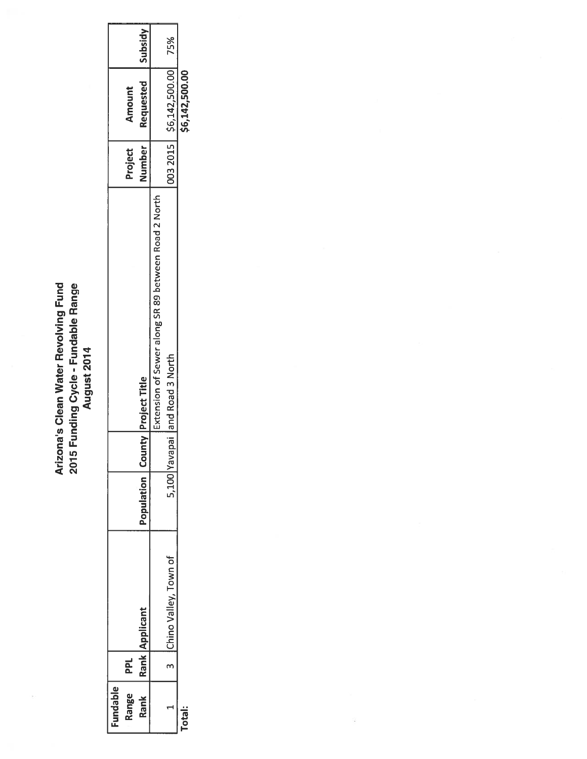# Arizona's Clean Water Revolving Fund<br>2015 Funding Cycle - Fundable Range<br>August 2014

| undable |            |                       |                  |      |                                                     |               |                             |                     |
|---------|------------|-----------------------|------------------|------|-----------------------------------------------------|---------------|-----------------------------|---------------------|
| ăue     | <b>PPL</b> |                       |                  |      |                                                     | Project       | Amount                      |                     |
| Rank    | Rank I,    | Applican              | Population   Cou |      | <b>Inty Project Title</b>                           | <b>Number</b> | Requested                   | Vpisqn <sub>S</sub> |
|         |            |                       |                  |      | Extension of Sewer along SR 89 between Road 2 North |               |                             |                     |
|         |            | Chino Valley, Town of | $\frac{100}{1}$  | Yava | apai and Road 3 North                               |               | 003 2015 \$6,142,500.00 75% |                     |
|         |            |                       |                  |      |                                                     |               | \$6,142,500.00              |                     |

î.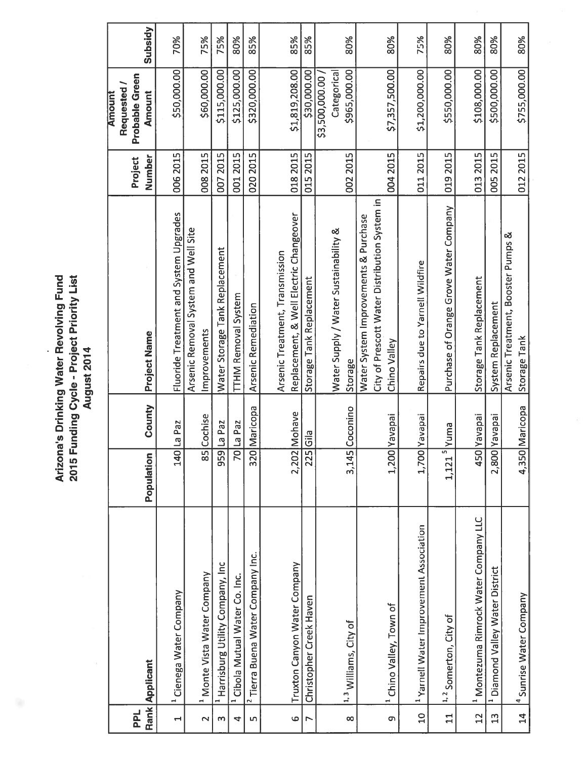| 2015 Funding Cycle - Project Priority List<br>Arizona's Drinking Water Revolving Fund<br>August 2014 |
|------------------------------------------------------------------------------------------------------|
|------------------------------------------------------------------------------------------------------|

 $\sim$ 

|                          |                                                    |                      |          |                                                               |          | <b>Amount</b>                 |         |
|--------------------------|----------------------------------------------------|----------------------|----------|---------------------------------------------------------------|----------|-------------------------------|---------|
| <b>PPL</b>               |                                                    |                      |          |                                                               | Project  | Probable Green<br>Requested / |         |
|                          | Rank Applicant                                     | Population           | County   | Project Name                                                  | Number   | <b>Amount</b>                 | Subsidy |
| $\overline{\phantom{0}}$ | <sup>1</sup> Cienega Water Company                 | $\boxed{140}$        | La Paz   | Fluoride Treatment and System Upgrades                        | 006 2015 | \$50,000.00                   | 70%     |
|                          |                                                    |                      |          | Arsenic Removal System and Well Site                          |          |                               |         |
| $\mathbf{\Omega}$        | <sup>1</sup> Monte Vista Water Company             | $\overline{58}$      | Cochise  | Improvements                                                  | 008 2015 | \$60,000.00                   | 75%     |
| m                        | <sup>1</sup> Harrisburg Utility Company, Inc.      | 959                  | La Paz   | Water Storage Tank Replacement                                | 0072015  | \$115,000.00                  | 75%     |
| 4                        | <sup>1</sup> Cibola Mutual Water Co. Inc.          | $\overline{5}$       | La Paz   | <b>TTHM Removal System</b>                                    | 0012015  | \$125,000.00                  | 80%     |
| Lŋ                       | <sup>2</sup> Tierra Buena Water Company Inc.       | 320                  | Maricopa | Arsenic Remediation                                           | 020 2015 | \$320,000.00                  | 85%     |
|                          |                                                    |                      |          | Arsenic Treatment, Transmission                               |          |                               |         |
| $\ddot{\circ}$           | Truxton Canyon Water Company                       | 2,202                | Mohave   | Replacement, & Well Electric Changeover                       | 018 2015 | \$1,819,208.00                | 85%     |
| Z                        | Christopher Creek Haven                            | 225                  | Gila     | Storage Tank Replacement                                      | 015 2015 | \$30,000.00                   | 85%     |
|                          |                                                    |                      |          |                                                               |          | \$3,500,000.00                |         |
|                          |                                                    |                      |          | Water Supply / Water Sustainability &                         |          | Categorical                   |         |
| $\infty$                 | <sup>1, 3</sup> Williams, City of                  | 3,145                | Coconino | Storage                                                       | 002 2015 | \$965,000.00                  | 80%     |
|                          |                                                    |                      |          | Water System Improvements & Purchase                          |          |                               |         |
| $\sigma$                 | <sup>1</sup> Chino Valley, Town of                 | 1,200                | Yavapai  | City of Prescott Water Distribution System in<br>Chino Valley | 004 2015 | \$7,357,500.00                | 80%     |
|                          |                                                    |                      |          |                                                               |          |                               |         |
| $\overline{a}$           | <sup>1</sup> Yarnell Water Improvement Association | 1,700                | Yavapai  | Repairs due to Yarnell Wildfire                               | 011 2015 | \$1,200,000.00                | 75%     |
| 11                       | <sup>1,2</sup> Somerton, City of                   | $1,121$ <sup>5</sup> | Yuma     | Purchase of Orange Grove Water Company                        | 019 2015 | \$550,000.00                  | 80%     |
| $\overline{2}$           | <sup>1</sup> Montezuma Rimrock Water Company LLC   | 450                  | Yavapai  | Storage Tank Replacement                                      | 013 2015 | \$108,000.00                  | 80%     |
| $\mathfrak{a}$           | <sup>1</sup> Diamond Valley Water District         | 2,800                | Yavapai  | System Replacement                                            | 005 2015 | \$500,000.00                  | 80%     |
|                          |                                                    |                      |          | Arsenic Treatment, Booster Pumps &                            |          |                               |         |
| 14                       | 4 Sunrise Water Company                            | 4,350                | Maricopa | Storage Tank                                                  | 012 2015 | \$755,000.00                  | 80%     |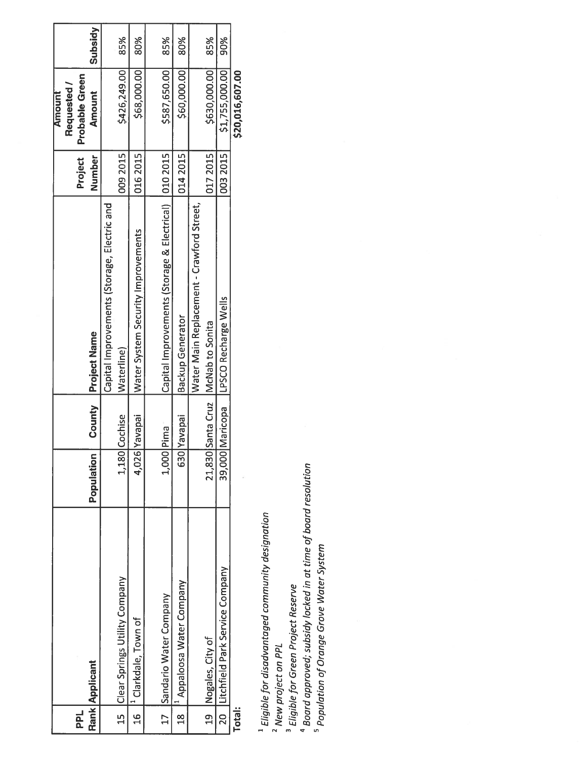|               |                                 |            |                   |                                                        |          | <b>Amount</b>   |         |
|---------------|---------------------------------|------------|-------------------|--------------------------------------------------------|----------|-----------------|---------|
|               |                                 |            |                   |                                                        |          | Requested/      |         |
| <b>PPL</b>    |                                 |            |                   |                                                        | Project  | Probable Green  |         |
|               | Rank Applicant                  | Population | County            | <b>Project Name</b>                                    | Number   | <b>Amount</b>   | Subsidy |
|               |                                 |            |                   | Capital Improvements (Storage, Electric and            |          |                 |         |
| <u>ក្ន</u>    | Clear Springs Utility Company   | 1,180      | <b>Cochise</b>    | Waterline)                                             | 0092015  | \$426,249.00    | 85%     |
| $\frac{6}{1}$ | <sup>1</sup> Clarkdale, Town of | 4,026      | <b>iedeve</b>     | Water System Security Improvements                     | 0162015  | \$68,000.00     | 80%     |
|               |                                 |            |                   |                                                        |          |                 |         |
| $17-1$        | Sandario Water Company          |            | L,000 Pima        | Capital Improvements (Storage & Electrical)   010 2015 |          | \$587,650.00    | 85%     |
| $\frac{8}{1}$ | Appaloosa Water Company         | 630 Y      | iedeve            | <b>Backup Generator</b>                                | 0142015  | \$60,000.00     | 80%     |
|               |                                 |            |                   | Water Main Replacement - Crawford Street,              |          |                 |         |
| 9             | Nogales, City of                |            | 21,830 Santa Cruz | McNab to Sonita                                        | 0172015  | \$630,000.00    | 85%     |
| 20            | Litchfield Park Service Company |            | 39,000 Maricopa   | LPSCO Recharge Wells                                   | 003 2015 | \$1,755,000.00  | 90%     |
| <b>Total:</b> |                                 |            |                   |                                                        |          | \$20,016,607.00 |         |

<sup>1</sup> Eligible for disadvantaged community designation

<sup>2</sup> New project on PPL<br><sup>3</sup> Eligible for Green Project Reserve<br><sup>4</sup> Board approved; subsidy locked in at time of board resolution<br><sup>5</sup> Population of Orange Grove Water System